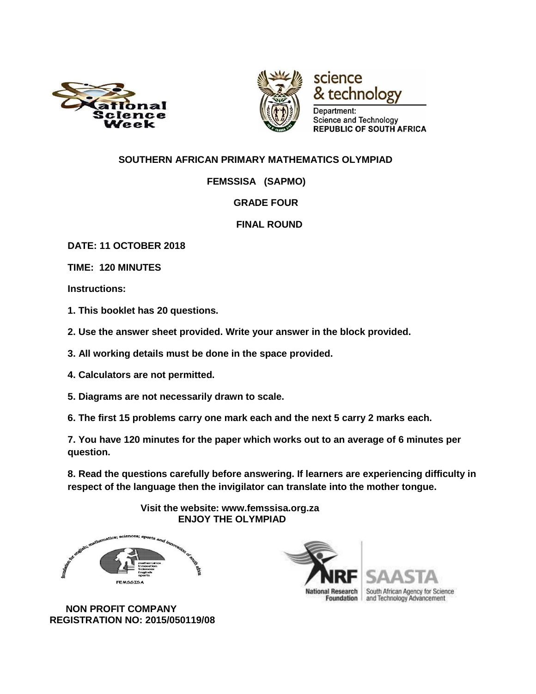



technology Department: **Science and Technology** REPUBLIC OF SOUTH AFRICA

science

### **SOUTHERN AFRICAN PRIMARY MATHEMATICS OLYMPIAD**

 **FEMSSISA (SAPMO)** 

#### **GRADE FOUR**

#### **FINAL ROUND**

**DATE: 11 OCTOBER 2018** 

**TIME: 120 MINUTES** 

**Instructions:** 

**1. This booklet has 20 questions.** 

**2. Use the answer sheet provided. Write your answer in the block provided.** 

**3. All working details must be done in the space provided.** 

**4. Calculators are not permitted.** 

**5. Diagrams are not necessarily drawn to scale.** 

**6. The first 15 problems carry one mark each and the next 5 carry 2 marks each.** 

**7. You have 120 minutes for the paper which works out to an average of 6 minutes per question.** 

**8. Read the questions carefully before answering. If learners are experiencing difficulty in respect of the language then the invigilator can translate into the mother tongue.** 

> **Visit the website: www.femssisa.org.za ENJOY THE OLYMPIAD**



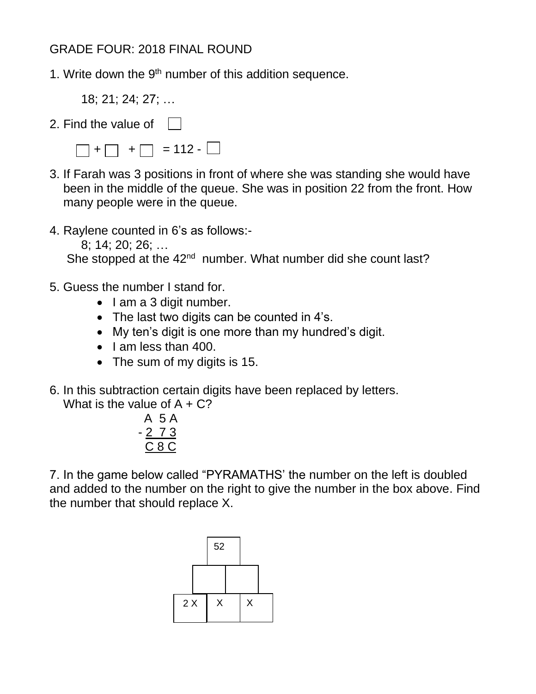# GRADE FOUR: 2018 FINAL ROUND

1. Write down the  $9<sup>th</sup>$  number of this addition sequence.

18; 21; 24; 27; …

2. Find the value of | |

 $\Box$  +  $\Box$  +  $\Box$  = 112 -  $\Box$ 

- 3. If Farah was 3 positions in front of where she was standing she would have been in the middle of the queue. She was in position 22 from the front. How many people were in the queue.
- 4. Raylene counted in 6's as follows:-
	- 8; 14; 20; 26; …

She stopped at the 42<sup>nd</sup> number. What number did she count last?

- 5. Guess the number I stand for.
	- $\bullet$  lam a 3 digit number.
	- The last two digits can be counted in 4's.
	- My ten's digit is one more than my hundred's digit.
	- $\bullet$  | am less than 400.
	- The sum of my digits is 15.
- 6. In this subtraction certain digits have been replaced by letters.

What is the value of  $A + C$ ?

A 5 A - 2 7 3 C 8 C

7. In the game below called "PYRAMATHS' the number on the left is doubled and added to the number on the right to give the number in the box above. Find the number that should replace X.

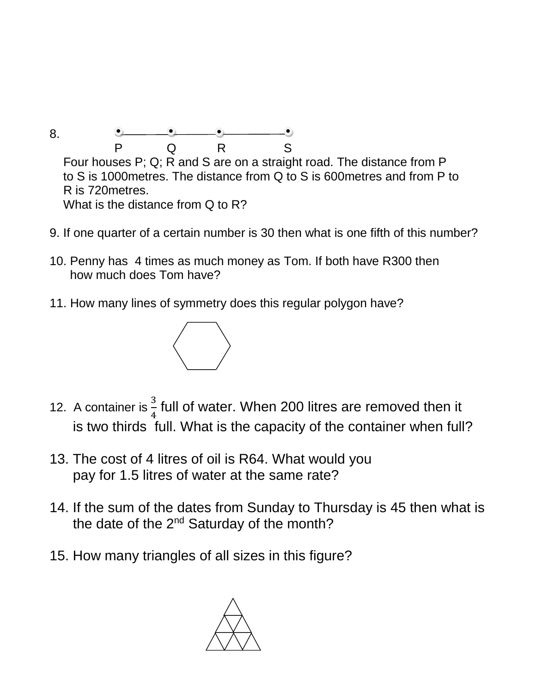8. P Q R S Four houses P; Q; R and S are on a straight road. The distance from P to S is 1000metres. The distance from Q to S is 600metres and from P to R is 720metres. What is the distance from Q to R?

- 9. If one quarter of a certain number is 30 then what is one fifth of this number?
- 10. Penny has 4 times as much money as Tom. If both have R300 then how much does Tom have?
- 11. How many lines of symmetry does this regular polygon have?



- 12. A container is  $\frac{3}{4}$  full of water. When 200 litres are removed then it is two thirds full. What is the capacity of the container when full?
- 13. The cost of 4 litres of oil is R64. What would you pay for 1.5 litres of water at the same rate?
- 14. If the sum of the dates from Sunday to Thursday is 45 then what is the date of the 2<sup>nd</sup> Saturday of the month?
- 15. How many triangles of all sizes in this figure?

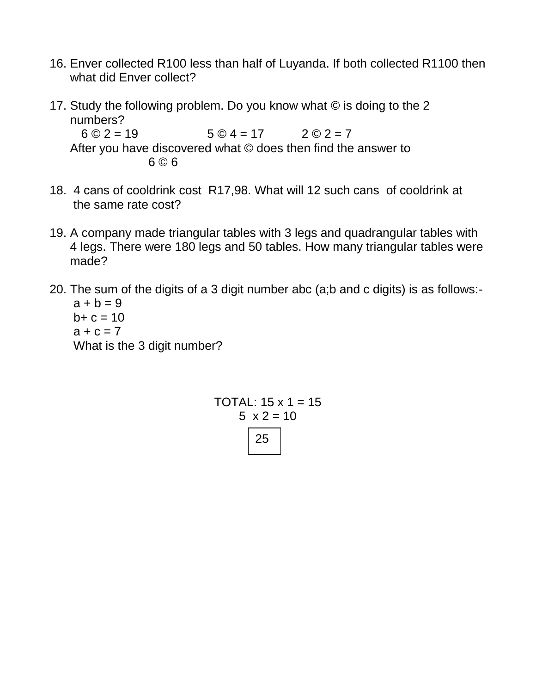- 16. Enver collected R100 less than half of Luyanda. If both collected R1100 then what did Enver collect?
- 17. Study the following problem. Do you know what © is doing to the 2 numbers?  $6 \odot 2 = 19$   $5 \odot 4 = 17$   $2 \odot 2 = 7$

 After you have discovered what © does then find the answer to 6 © 6

- 18. 4 cans of cooldrink cost R17,98. What will 12 such cans of cooldrink at the same rate cost?
- 19. A company made triangular tables with 3 legs and quadrangular tables with 4 legs. There were 180 legs and 50 tables. How many triangular tables were made?
- 20. The sum of the digits of a 3 digit number abc (a;b and c digits) is as follows:  $a + b = 9$  $b + c = 10$  $a + c = 7$

What is the 3 digit number?

TOTAL:  $15 \times 1 = 15$  $5 \times 2 = 10$ 25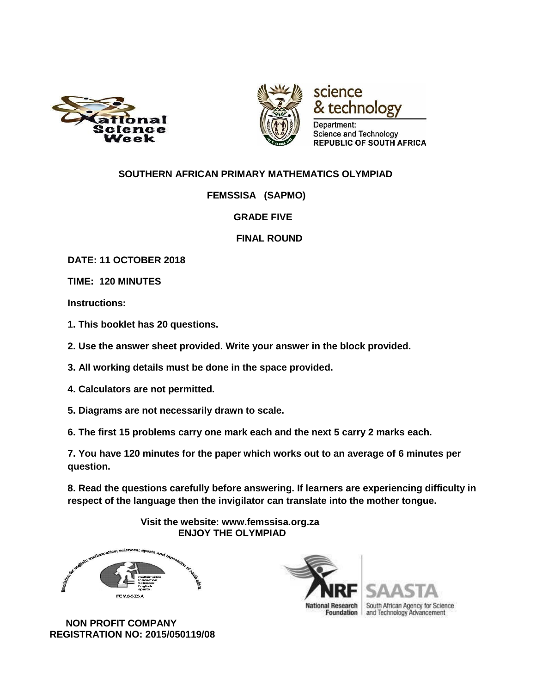



# science technology

Department: Science and Technology **REPUBLIC OF SOUTH AFRICA** 

### **SOUTHERN AFRICAN PRIMARY MATHEMATICS OLYMPIAD**

 **FEMSSISA (SAPMO)** 

 **GRADE FIVE** 

 **FINAL ROUND**

**DATE: 11 OCTOBER 2018** 

**TIME: 120 MINUTES** 

**Instructions:** 

- **1. This booklet has 20 questions.**
- **2. Use the answer sheet provided. Write your answer in the block provided.**
- **3. All working details must be done in the space provided.**
- **4. Calculators are not permitted.**
- **5. Diagrams are not necessarily drawn to scale.**
- **6. The first 15 problems carry one mark each and the next 5 carry 2 marks each.**

**7. You have 120 minutes for the paper which works out to an average of 6 minutes per question.** 

**8. Read the questions carefully before answering. If learners are experiencing difficulty in respect of the language then the invigilator can translate into the mother tongue.** 

> **Visit the website: www.femssisa.org.za ENJOY THE OLYMPIAD**



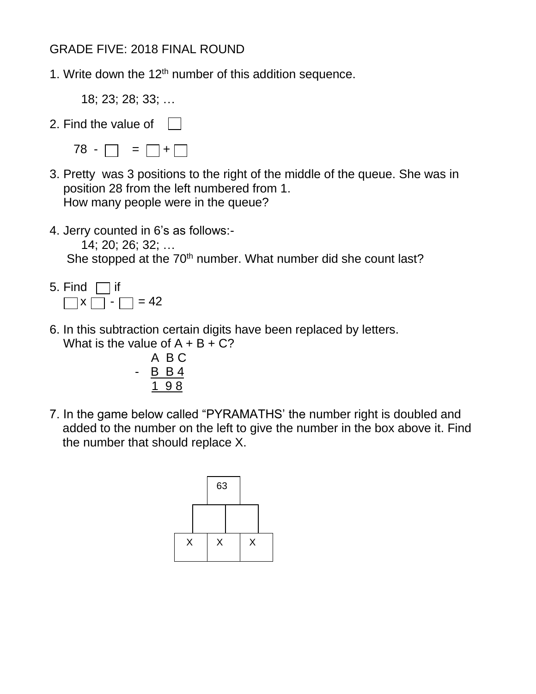# GRADE FIVE: 2018 FINAL ROUND

1. Write down the  $12<sup>th</sup>$  number of this addition sequence.

18; 23; 28; 33; …

- 2. Find the value of | |
	- $78 \square = \square + \square$
- 3. Pretty was 3 positions to the right of the middle of the queue. She was in position 28 from the left numbered from 1. How many people were in the queue?
- 4. Jerry counted in 6's as follows:-

14; 20; 26; 32; …

She stopped at the 70<sup>th</sup> number. What number did she count last?

- 5. Find  $\Box$  if  $\Box x \Box - \Box = 42$
- 6. In this subtraction certain digits have been replaced by letters. What is the value of  $A + B + C$ ?

 A B C - B B 4 1 9 8

7. In the game below called "PYRAMATHS' the number right is doubled and added to the number on the left to give the number in the box above it. Find the number that should replace X.

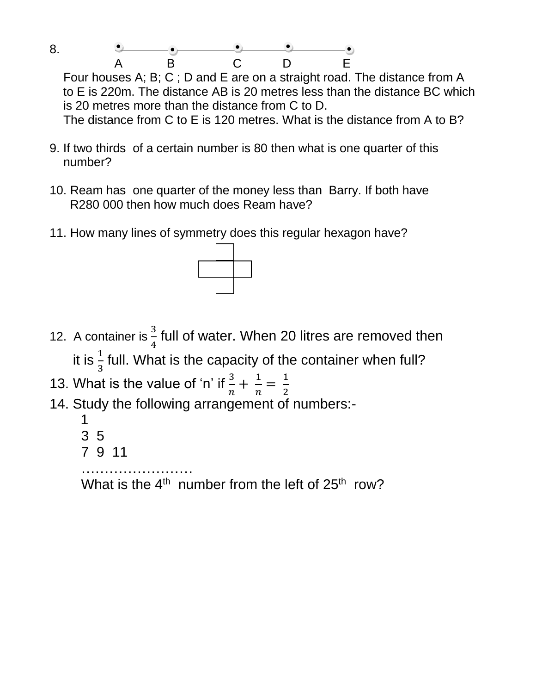8. A B C D E

 Four houses A; B; C ; D and E are on a straight road. The distance from A to E is 220m. The distance AB is 20 metres less than the distance BC which is 20 metres more than the distance from C to D. The distance from C to E is 120 metres. What is the distance from A to B?

- 9. If two thirds of a certain number is 80 then what is one quarter of this number?
- 10. Ream has one quarter of the money less than Barry. If both have R280 000 then how much does Ream have?
- 11. How many lines of symmetry does this regular hexagon have?



- 12. A container is  $\frac{3}{4}$  full of water. When 20 litres are removed then it is  $\frac{1}{3}$  full. What is the capacity of the container when full?
- 13. What is the value of 'n' if  $\frac{3}{n} + \frac{1}{n}$  $\frac{1}{n} = \frac{1}{2}$ 2
- 14. Study the following arrangement of numbers:-
	- 1
	- 3 5
	- 7 9 11

…………………… What is the  $4^{\text{th}}$  number from the left of  $25^{\text{th}}$  row?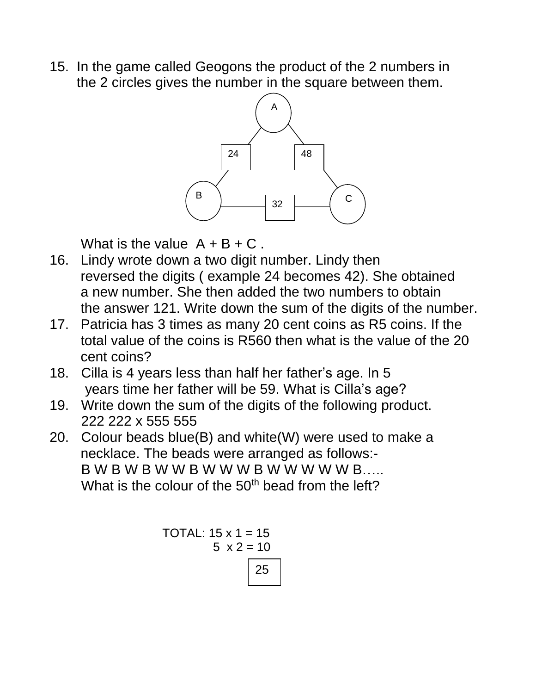15. In the game called Geogons the product of the 2 numbers in the 2 circles gives the number in the square between them.



What is the value  $A + B + C$ .

- 16. Lindy wrote down a two digit number. Lindy then reversed the digits ( example 24 becomes 42). She obtained a new number. She then added the two numbers to obtain the answer 121. Write down the sum of the digits of the number.
- 17. Patricia has 3 times as many 20 cent coins as R5 coins. If the total value of the coins is R560 then what is the value of the 20 cent coins?
- 18. Cilla is 4 years less than half her father's age. In 5 years time her father will be 59. What is Cilla's age?
- 19. Write down the sum of the digits of the following product. 222 222 x 555 555
- 20. Colour beads blue(B) and white(W) were used to make a necklace. The beads were arranged as follows:- B W B W B W W B W W W B W W W W W B….. What is the colour of the  $50<sup>th</sup>$  bead from the left?

TOTAL: 
$$
15 \times 1 = 15
$$

\n5  $\times 2 = 10$ 

\n25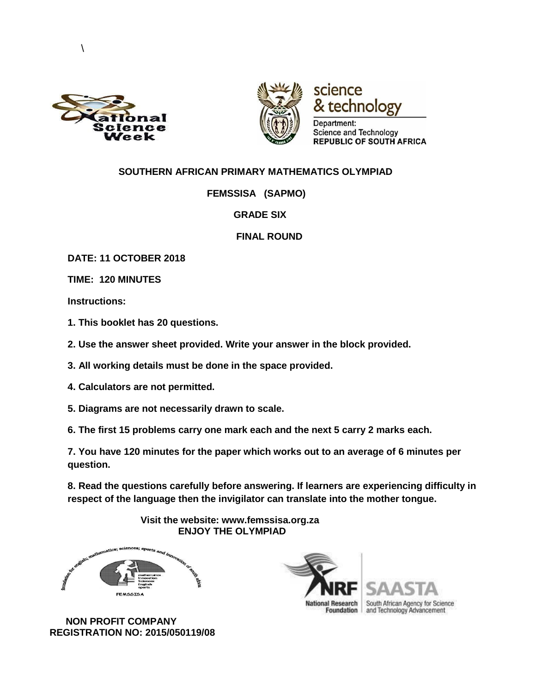

 $\setminus$ 



science & technology

Department: Science and Technology **REPUBLIC OF SOUTH AFRICA** 

#### **SOUTHERN AFRICAN PRIMARY MATHEMATICS OLYMPIAD**

 **FEMSSISA (SAPMO)** 

 **GRADE SIX** 

 **FINAL ROUND**

**DATE: 11 OCTOBER 2018** 

**TIME: 120 MINUTES** 

**Instructions:** 

**1. This booklet has 20 questions.** 

**2. Use the answer sheet provided. Write your answer in the block provided.** 

**3. All working details must be done in the space provided.** 

**4. Calculators are not permitted.** 

**5. Diagrams are not necessarily drawn to scale.** 

**6. The first 15 problems carry one mark each and the next 5 carry 2 marks each.** 

**7. You have 120 minutes for the paper which works out to an average of 6 minutes per question.** 

**8. Read the questions carefully before answering. If learners are experiencing difficulty in respect of the language then the invigilator can translate into the mother tongue.** 

> **Visit the website: www.femssisa.org.za ENJOY THE OLYMPIAD**



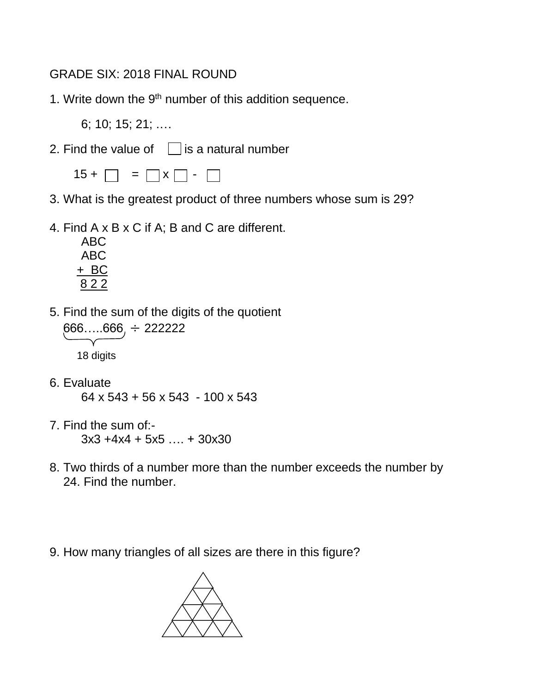# GRADE SIX: 2018 FINAL ROUND

1. Write down the  $9<sup>th</sup>$  number of this addition sequence.

6; 10; 15; 21; .…

2. Find the value of  $\vert \cdot \vert$  is a natural number

 $15 + \Box = \Box x \Box - \Box$ 

- 3. What is the greatest product of three numbers whose sum is 29?
- 4. Find A x B x C if A; B and C are different.

ABC ABC + BC 8 2 2

5. Find the sum of the digits of the quotient



18 digits

- 6. Evaluate 64 x 543 + 56 x 543 - 100 x 543
- 7. Find the sum of:- 3x3 +4x4 + 5x5 …. + 30x30
- 8. Two thirds of a number more than the number exceeds the number by 24. Find the number.
- 9. How many triangles of all sizes are there in this figure?

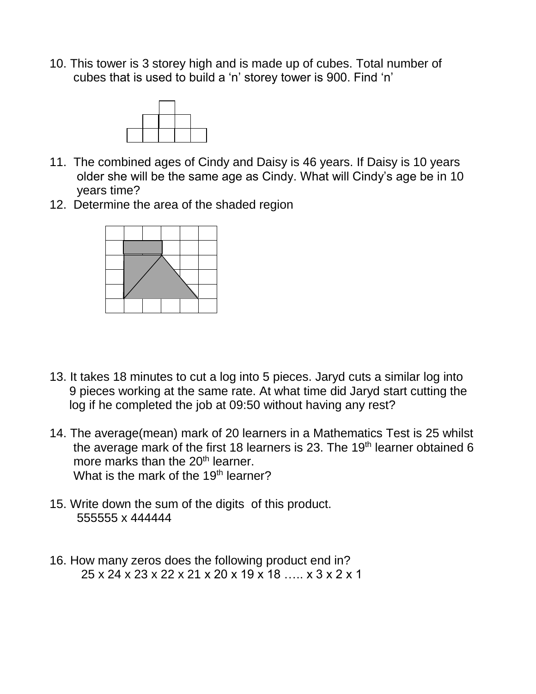10. This tower is 3 storey high and is made up of cubes. Total number of cubes that is used to build a 'n' storey tower is 900. Find 'n'



- 11. The combined ages of Cindy and Daisy is 46 years. If Daisy is 10 years older she will be the same age as Cindy. What will Cindy's age be in 10 years time?
- 12. Determine the area of the shaded region



- 13. It takes 18 minutes to cut a log into 5 pieces. Jaryd cuts a similar log into 9 pieces working at the same rate. At what time did Jaryd start cutting the log if he completed the job at 09:50 without having any rest?
- 14. The average(mean) mark of 20 learners in a Mathematics Test is 25 whilst the average mark of the first 18 learners is 23. The 19<sup>th</sup> learner obtained  $6$ more marks than the 20<sup>th</sup> learner. What is the mark of the 19<sup>th</sup> learner?
- 15. Write down the sum of the digits of this product. 555555 x 444444
- 16. How many zeros does the following product end in? 25 x 24 x 23 x 22 x 21 x 20 x 19 x 18 ….. x 3 x 2 x 1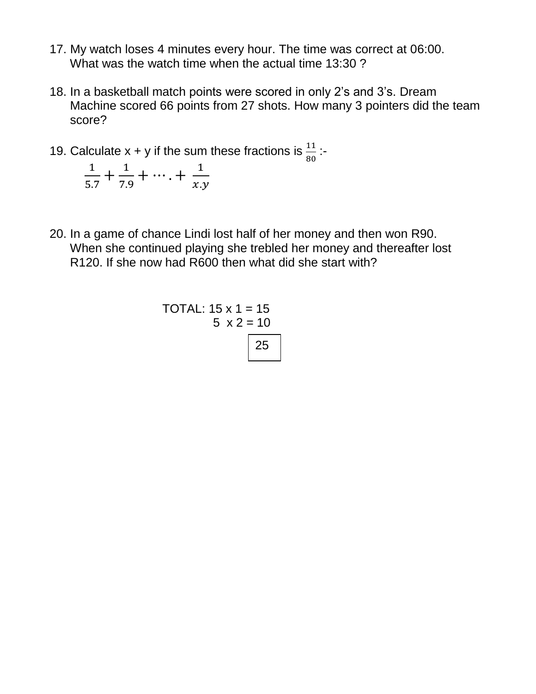- 17. My watch loses 4 minutes every hour. The time was correct at 06:00. What was the watch time when the actual time 13:30 ?
- 18. In a basketball match points were scored in only 2's and 3's. Dream Machine scored 66 points from 27 shots. How many 3 pointers did the team score?
- 19. Calculate  $x + y$  if the sum these fractions is  $\frac{11}{80}$ : 1  $\frac{1}{5.7} + \frac{1}{7.9}$  $\frac{1}{7.9} + \cdots + \frac{1}{x.9}$ 
	-

 $x.y$ 

20. In a game of chance Lindi lost half of her money and then won R90. When she continued playing she trebled her money and thereafter lost R120. If she now had R600 then what did she start with?

TOTAL: 
$$
15 \times 1 = 15
$$

\n5  $\times 2 = 10$ 

\n25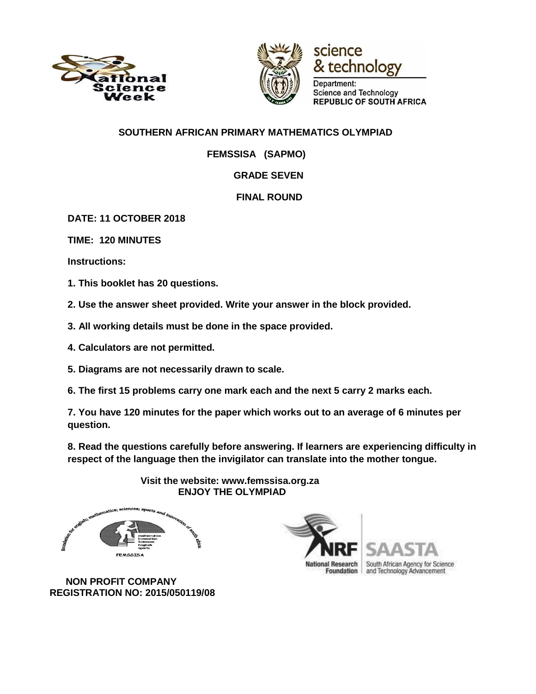





Department: Science and Technology **REPUBLIC OF SOUTH AFRICA** 

### **SOUTHERN AFRICAN PRIMARY MATHEMATICS OLYMPIAD**

 **FEMSSISA (SAPMO)** 

## **GRADE SEVEN**

## **FINAL ROUND**

**DATE: 11 OCTOBER 2018** 

**TIME: 120 MINUTES** 

**Instructions:** 

**1. This booklet has 20 questions.** 

**2. Use the answer sheet provided. Write your answer in the block provided.** 

- **3. All working details must be done in the space provided.**
- **4. Calculators are not permitted.**
- **5. Diagrams are not necessarily drawn to scale.**
- **6. The first 15 problems carry one mark each and the next 5 carry 2 marks each.**

**7. You have 120 minutes for the paper which works out to an average of 6 minutes per question.** 

**8. Read the questions carefully before answering. If learners are experiencing difficulty in respect of the language then the invigilator can translate into the mother tongue.** 



 **Visit the website: www.femssisa.org.za ENJOY THE OLYMPIAD**

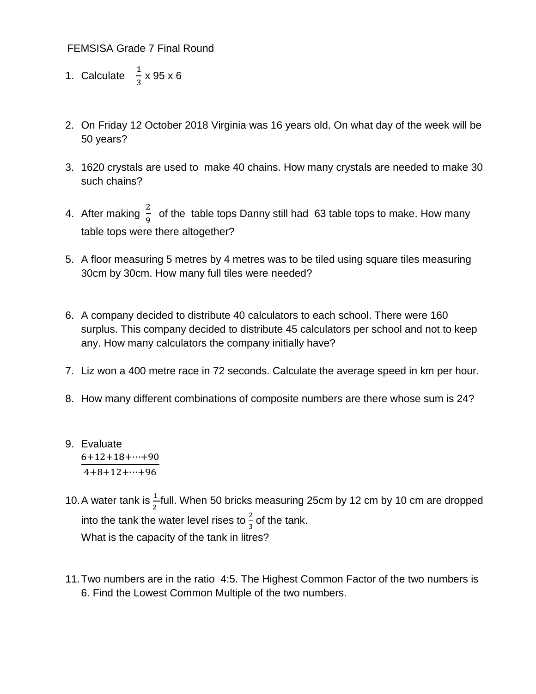FEMSISA Grade 7 Final Round

- 1. Calculate  $\frac{1}{3} \times 95 \times 6$
- 2. On Friday 12 October 2018 Virginia was 16 years old. On what day of the week will be 50 years?
- 3. 1620 crystals are used to make 40 chains. How many crystals are needed to make 30 such chains?
- 4. After making  $\frac{2}{9}$  of the table tops Danny still had 63 table tops to make. How many table tops were there altogether?
- 5. A floor measuring 5 metres by 4 metres was to be tiled using square tiles measuring 30cm by 30cm. How many full tiles were needed?
- 6. A company decided to distribute 40 calculators to each school. There were 160 surplus. This company decided to distribute 45 calculators per school and not to keep any. How many calculators the company initially have?
- 7. Liz won a 400 metre race in 72 seconds. Calculate the average speed in km per hour.
- 8. How many different combinations of composite numbers are there whose sum is 24?
- 9. Evaluate 6+12+18+⋯+90  $4+8+12+\cdots+96$
- 10. A water tank is  $\frac{1}{2}$ full. When 50 bricks measuring 25cm by 12 cm by 10 cm are dropped into the tank the water level rises to  $\frac{2}{3}$  of the tank. What is the capacity of the tank in litres?
- 11.Two numbers are in the ratio 4:5. The Highest Common Factor of the two numbers is 6. Find the Lowest Common Multiple of the two numbers.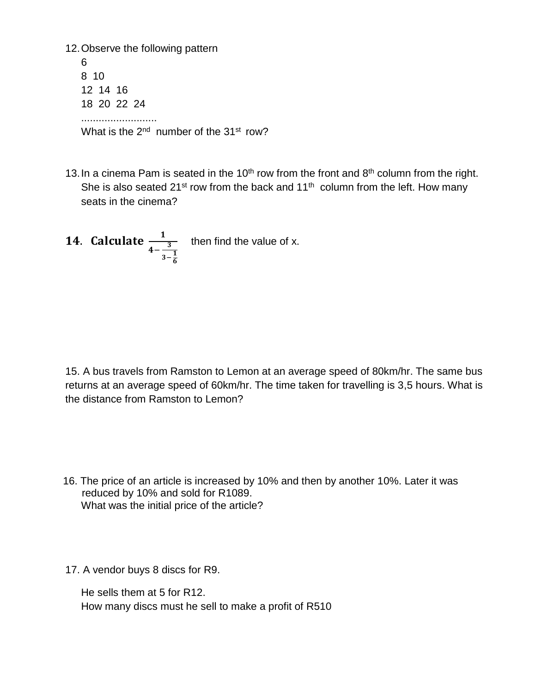12.Observe the following pattern 6 8 10 12 14 16 18 20 22 24 .......................... What is the 2<sup>nd</sup> number of the 31<sup>st</sup> row?

13. In a cinema Pam is seated in the 10<sup>th</sup> row from the front and  $8<sup>th</sup>$  column from the right. She is also seated 21<sup>st</sup> row from the back and 11<sup>th</sup> column from the left. How many seats in the cinema?

**14. Calculate**  
$$
\frac{1}{4-\frac{3}{3-\frac{1}{6}}}
$$
 then find the value of x.

15. A bus travels from Ramston to Lemon at an average speed of 80km/hr. The same bus returns at an average speed of 60km/hr. The time taken for travelling is 3,5 hours. What is the distance from Ramston to Lemon?

- 16. The price of an article is increased by 10% and then by another 10%. Later it was reduced by 10% and sold for R1089. What was the initial price of the article?
- 17. A vendor buys 8 discs for R9.

He sells them at 5 for R12. How many discs must he sell to make a profit of R510